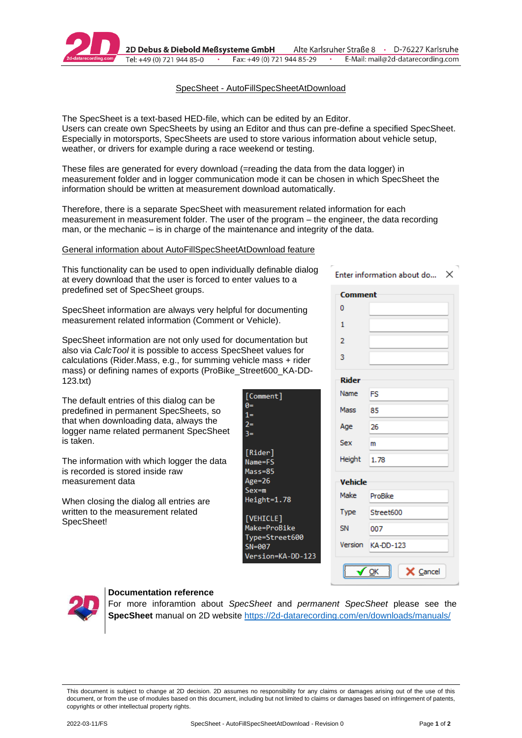

#### SpecSheet - AutoFillSpecSheetAtDownload

The SpecSheet is a text-based HED-file, which can be edited by an Editor. Users can create own SpecSheets by using an Editor and thus can pre-define a specified SpecSheet. Especially in motorsports, SpecSheets are used to store various information about vehicle setup, weather, or drivers for example during a race weekend or testing.

These files are generated for every download (=reading the data from the data logger) in measurement folder and in logger communication mode it can be chosen in which SpecSheet the information should be written at measurement download automatically.

Therefore, there is a separate SpecSheet with measurement related information for each measurement in measurement folder. The user of the program – the engineer, the data recording man, or the mechanic – is in charge of the maintenance and integrity of the data.

#### General information about AutoFillSpecSheetAtDownload feature

This functionality can be used to open individually definable dialog at every download that the user is forced to enter values to a predefined set of SpecSheet groups.

SpecSheet information are always very helpful for documenting measurement related information (Comment or Vehicle).

SpecSheet information are not only used for documentation but also via *CalcTool* it is possible to access SpecSheet values for calculations (Rider.Mass, e.g., for summing vehicle mass + rider mass) or defining names of exports (ProBike\_Street600\_KA-DD-123.txt)

The default entries of this dialog can be predefined in permanent SpecSheets, so that when downloading data, always the logger name related permanent SpecSheet is taken.

The information with which logger the data is recorded is stored inside raw measurement data

When closing the dialog all entries are written to the measurement related SpecSheet!

| [Comment]         |
|-------------------|
| Ø=                |
| $1=$              |
| $2 =$             |
| $3=$              |
|                   |
| [Rider]           |
| Name=FS           |
| Mass=85           |
| Age=26            |
| Sex=m             |
| Height=1.78       |
|                   |
| [VEHICLE]         |
| Make=ProBike      |
| Type=Street600    |
| SN=007            |
| Version=KA-DD-123 |
|                   |

| <b>Comment</b> |           |
|----------------|-----------|
| 0              |           |
| 1              |           |
| $\overline{2}$ |           |
| 3              |           |
| <b>Rider</b>   |           |
| Name           | FS        |
| Mass           | 85        |
| Age            | 26        |
| Sex            | m         |
| Height         | 1.78      |
| <b>Vehicle</b> |           |
| Make           | ProBike   |
| <b>Type</b>    | Street600 |
| SN             | 007       |
| Version        | KA-DD-123 |



## **Documentation reference**

For more inforamtion about *SpecSheet* and *permanent SpecSheet* please see the **SpecSheet** manual on 2D website<https://2d-datarecording.com/en/downloads/manuals/>

This document is subject to change at 2D decision. 2D assumes no responsibility for any claims or damages arising out of the use of this document, or from the use of modules based on this document, including but not limited to claims or damages based on infringement of patents, copyrights or other intellectual property rights.